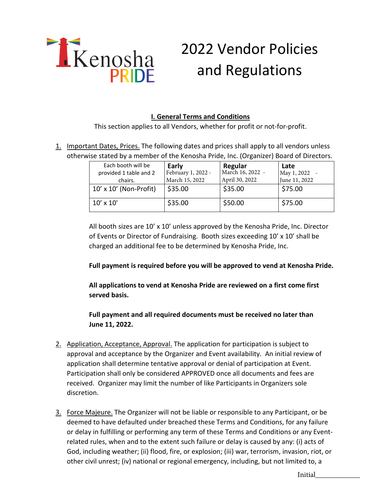

## 2022 Vendor Policies and Regulations

## **I. General Terms and Conditions**

This section applies to all Vendors, whether for profit or not-for-profit.

1. Important Dates, Prices. The following dates and prices shall apply to all vendors unless otherwise stated by a member of the Kenosha Pride, Inc. (Organizer) Board of Directors.

| Each booth will be<br>provided 1 table and 2<br>chairs. | Early<br>February 1, 2022 -<br>March 15, 2022 | Regular<br>March 16, 2022 -<br>April 30, 2022 | Late<br>May 1, 2022<br>June 11, 2022 |
|---------------------------------------------------------|-----------------------------------------------|-----------------------------------------------|--------------------------------------|
| $10' \times 10'$ (Non-Profit)                           | \$35.00                                       | \$35.00                                       | \$75.00                              |
| $10' \times 10'$                                        | \$35.00                                       | \$50.00                                       | \$75.00                              |

All booth sizes are  $10'$  x  $10'$  unless approved by the Kenosha Pride, Inc. Director of Events or Director of Fundraising. Booth sizes exceeding 10' x 10' shall be charged an additional fee to be determined by Kenosha Pride, Inc.

**Full payment is required before you will be approved to vend at Kenosha Pride.** 

**All applications to vend at Kenosha Pride are reviewed on a first come first served basis.**

**Full payment and all required documents must be received no later than June 11, 2022.** 

- 2. Application, Acceptance, Approval. The application for participation is subject to approval and acceptance by the Organizer and Event availability. An initial review of application shall determine tentative approval or denial of participation at Event. Participation shall only be considered APPROVED once all documents and fees are received. Organizer may limit the number of like Participants in Organizers sole discretion.
- 3. Force Majeure. The Organizer will not be liable or responsible to any Participant, or be deemed to have defaulted under breached these Terms and Conditions, for any failure or delay in fulfilling or performing any term of these Terms and Conditions or any Eventrelated rules, when and to the extent such failure or delay is caused by any: (i) acts of God, including weather; (ii) flood, fire, or explosion; (iii) war, terrorism, invasion, riot, or other civil unrest; (iv) national or regional emergency, including, but not limited to, a

Initial\_\_\_\_\_\_\_\_\_\_\_\_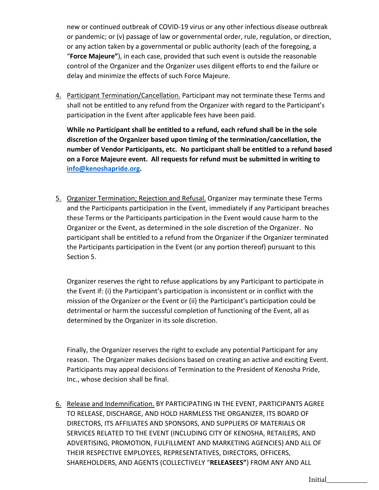new or continued outbreak of COVID-19 virus or any other infectious disease outbreak or pandemic; or (v) passage of law or governmental order, rule, regulation, or direction, or any action taken by a governmental or public authority (each of the foregoing, a "**Force Majeure"**), in each case, provided that such event is outside the reasonable control of the Organizer and the Organizer uses diligent efforts to end the failure or delay and minimize the effects of such Force Majeure.

4. Participant Termination/Cancellation. Participant may not terminate these Terms and shall not be entitled to any refund from the Organizer with regard to the Participant's participation in the Event after applicable fees have been paid.

**While no Participant shall be entitled to a refund, each refund shall be in the sole discretion of the Organizer based upon timing of the termination/cancellation, the number of Vendor Participants, etc. No participant shall be entitled to a refund based on a Force Majeure event. All requests for refund must be submitted in writing to [info@kenoshapride.org.](mailto:info@kenoshapride.org)**

5. Organizer Termination; Rejection and Refusal. Organizer may terminate these Terms and the Participants participation in the Event, immediately if any Participant breaches these Terms or the Participants participation in the Event would cause harm to the Organizer or the Event, as determined in the sole discretion of the Organizer. No participant shall be entitled to a refund from the Organizer if the Organizer terminated the Participants participation in the Event (or any portion thereof) pursuant to this Section 5.

Organizer reserves the right to refuse applications by any Participant to participate in the Event if: (i) the Participant's participation is inconsistent or in conflict with the mission of the Organizer or the Event or (ii) the Participant's participation could be detrimental or harm the successful completion of functioning of the Event, all as determined by the Organizer in its sole discretion.

Finally, the Organizer reserves the right to exclude any potential Participant for any reason. The Organizer makes decisions based on creating an active and exciting Event. Participants may appeal decisions of Termination to the President of Kenosha Pride, Inc., whose decision shall be final.

6. Release and Indemnification. BY PARTICIPATING IN THE EVENT, PARTICIPANTS AGREE TO RELEASE, DISCHARGE, AND HOLD HARMLESS THE ORGANIZER, ITS BOARD OF DIRECTORS, ITS AFFILIATES AND SPONSORS, AND SUPPLIERS OF MATERIALS OR SERVICES RELATED TO THE EVENT (INCLUDING CITY OF KENOSHA, RETAILERS, AND ADVERTISING, PROMOTION, FULFILLMENT AND MARKETING AGENCIES) AND ALL OF THEIR RESPECTIVE EMPLOYEES, REPRESENTATIVES, DIRECTORS, OFFICERS, SHAREHOLDERS, AND AGENTS (COLLECTIVELY "**RELEASEES"**) FROM ANY AND ALL

Initial\_\_\_\_\_\_\_\_\_\_\_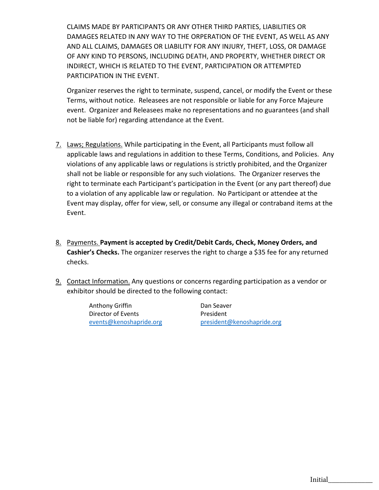CLAIMS MADE BY PARTICIPANTS OR ANY OTHER THIRD PARTIES, LIABILITIES OR DAMAGES RELATED IN ANY WAY TO THE ORPERATION OF THE EVENT, AS WELL AS ANY AND ALL CLAIMS, DAMAGES OR LIABILITY FOR ANY INJURY, THEFT, LOSS, OR DAMAGE OF ANY KIND TO PERSONS, INCLUDING DEATH, AND PROPERTY, WHETHER DIRECT OR INDIRECT, WHICH IS RELATED TO THE EVENT, PARTICIPATION OR ATTEMPTED PARTICIPATION IN THE EVENT.

Organizer reserves the right to terminate, suspend, cancel, or modify the Event or these Terms, without notice. Releasees are not responsible or liable for any Force Majeure event. Organizer and Releasees make no representations and no guarantees (and shall not be liable for) regarding attendance at the Event.

- 7. Laws; Regulations. While participating in the Event, all Participants must follow all applicable laws and regulations in addition to these Terms, Conditions, and Policies. Any violations of any applicable laws or regulations is strictly prohibited, and the Organizer shall not be liable or responsible for any such violations. The Organizer reserves the right to terminate each Participant's participation in the Event (or any part thereof) due to a violation of any applicable law or regulation. No Participant or attendee at the Event may display, offer for view, sell, or consume any illegal or contraband items at the Event.
- 8. Payments. **Payment is accepted by Credit/Debit Cards, Check, Money Orders, and Cashier's Checks.** The organizer reserves the right to charge a \$35 fee for any returned checks.
- 9. Contact Information. Any questions or concerns regarding participation as a vendor or exhibitor should be directed to the following contact:

Anthony Griffin **Dan Seaver** Director of Events **President** 

[events@kenoshapride.org](mailto:events@kenoshapride.org) [president@kenoshapride.org](mailto:president@kenoshapride.org)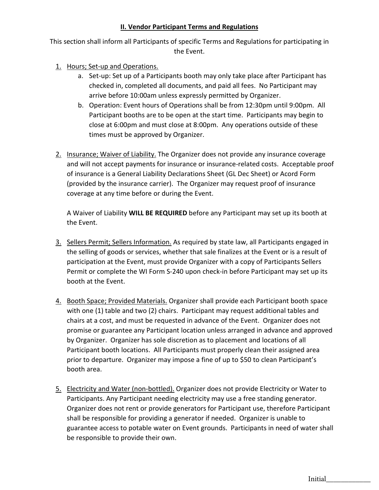## **II. Vendor Participant Terms and Regulations**

This section shall inform all Participants of specific Terms and Regulations for participating in the Event.

- 1. Hours; Set-up and Operations.
	- a. Set-up: Set up of a Participants booth may only take place after Participant has checked in, completed all documents, and paid all fees. No Participant may arrive before 10:00am unless expressly permitted by Organizer.
	- b. Operation: Event hours of Operations shall be from 12:30pm until 9:00pm. All Participant booths are to be open at the start time. Participants may begin to close at 6:00pm and must close at 8:00pm. Any operations outside of these times must be approved by Organizer.
- 2. Insurance; Waiver of Liability. The Organizer does not provide any insurance coverage and will not accept payments for insurance or insurance-related costs. Acceptable proof of insurance is a General Liability Declarations Sheet (GL Dec Sheet) or Acord Form (provided by the insurance carrier). The Organizer may request proof of insurance coverage at any time before or during the Event.

A Waiver of Liability **WILL BE REQUIRED** before any Participant may set up its booth at the Event.

- 3. Sellers Permit; Sellers Information. As required by state law, all Participants engaged in the selling of goods or services, whether that sale finalizes at the Event or is a result of participation at the Event, must provide Organizer with a copy of Participants Sellers Permit or complete the WI Form S-240 upon check-in before Participant may set up its booth at the Event.
- 4. Booth Space; Provided Materials. Organizer shall provide each Participant booth space with one (1) table and two (2) chairs. Participant may request additional tables and chairs at a cost, and must be requested in advance of the Event. Organizer does not promise or guarantee any Participant location unless arranged in advance and approved by Organizer. Organizer has sole discretion as to placement and locations of all Participant booth locations. All Participants must properly clean their assigned area prior to departure. Organizer may impose a fine of up to \$50 to clean Participant's booth area.
- 5. Electricity and Water (non-bottled). Organizer does not provide Electricity or Water to Participants. Any Participant needing electricity may use a free standing generator. Organizer does not rent or provide generators for Participant use, therefore Participant shall be responsible for providing a generator if needed. Organizer is unable to guarantee access to potable water on Event grounds. Participants in need of water shall be responsible to provide their own.

Initial\_\_\_\_\_\_\_\_\_\_\_\_